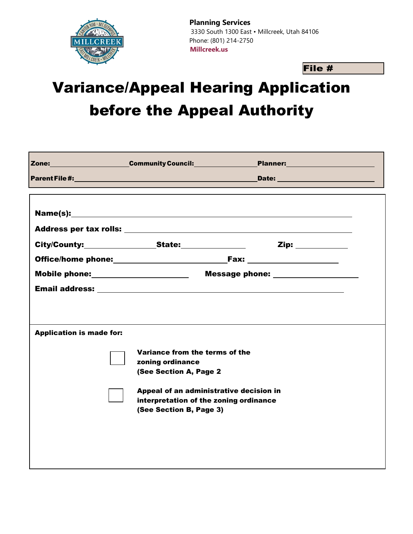

**Planning Services** 3330 South 1300 East • Millcreek, Utah 84106 Phone: (801) 214-2750 **Millcreek.us**

File #

## Variance/Appeal Hearing Application before the Appeal Authority

|                                                                                                                                                                                                                                 | Zone: Community Council: 2010                                                                              |                                          |  |  |
|---------------------------------------------------------------------------------------------------------------------------------------------------------------------------------------------------------------------------------|------------------------------------------------------------------------------------------------------------|------------------------------------------|--|--|
|                                                                                                                                                                                                                                 | Parent File #: 400 million and 200 million and 200 million and 200 million and 200 million and 200 million | Date: <u>___________________________</u> |  |  |
|                                                                                                                                                                                                                                 |                                                                                                            |                                          |  |  |
|                                                                                                                                                                                                                                 |                                                                                                            | Zip: ___________                         |  |  |
|                                                                                                                                                                                                                                 |                                                                                                            |                                          |  |  |
|                                                                                                                                                                                                                                 |                                                                                                            |                                          |  |  |
|                                                                                                                                                                                                                                 |                                                                                                            |                                          |  |  |
| <b>Application is made for:</b><br>Variance from the terms of the<br>zoning ordinance<br>(See Section A, Page 2<br>Appeal of an administrative decision in<br>interpretation of the zoning ordinance<br>(See Section B, Page 3) |                                                                                                            |                                          |  |  |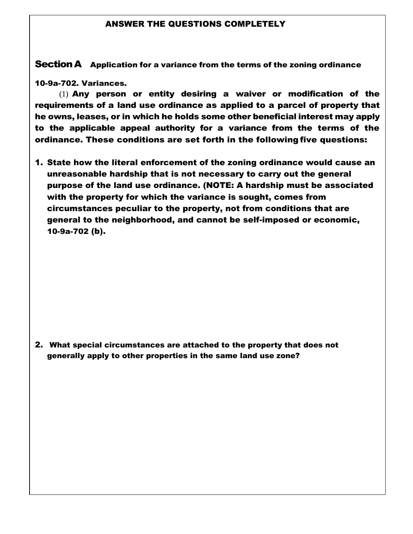## ANSWER THE QUESTIONS COMPLETELY

Section A Application for a variance from the terms of the zoning ordinance

10-9a-702. Variances.

(1) Any person or entity desiring a waiver or modification of the requirements of a land use ordinance as applied to a parcel of property that he owns, leases, or in which he holds some other beneficial interest may apply to the applicable appeal authority for a variance from the terms of the ordinance. These conditions are set forth in the following five questions:

1. State how the literal enforcement of the zoning ordinance would cause an unreasonable hardship that is not necessary to carry out the general purpose of the land use ordinance. (NOTE: A hardship must be associated with the property for which the variance is sought, comes from circumstances peculiar to the property, not from conditions that are general to the neighborhood, and cannot be self-imposed or economic, 10-9a-702 (b).

2. What special circumstances are attached to the property that does not generally apply to other properties in the same land use zone?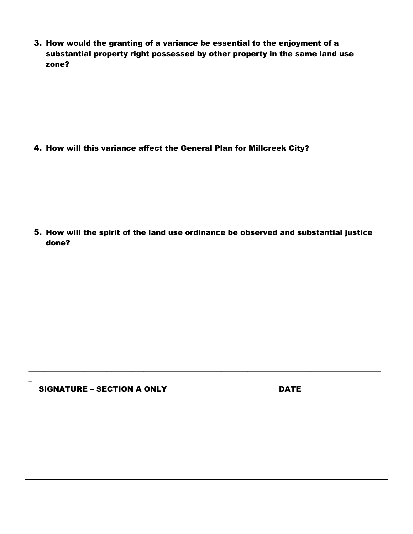| 3. How would the granting of a variance be essential to the enjoyment of a  |
|-----------------------------------------------------------------------------|
| substantial property right possessed by other property in the same land use |
| zone?                                                                       |

4. How will this variance affect the General Plan for Millcreek City?

5. How will the spirit of the land use ordinance be observed and substantial justice done?

\_\_\_\_\_\_\_\_\_\_\_\_\_\_\_\_\_\_\_\_\_\_\_\_\_\_\_\_\_\_\_\_\_\_\_\_\_\_\_\_\_\_\_\_\_\_\_\_\_\_\_\_\_\_\_\_\_\_\_\_\_\_\_\_\_\_\_\_\_\_\_\_\_\_\_\_\_\_\_\_\_\_\_\_\_\_\_\_\_\_\_\_\_\_\_

SIGNATURE – SECTION A ONLY DATE

\_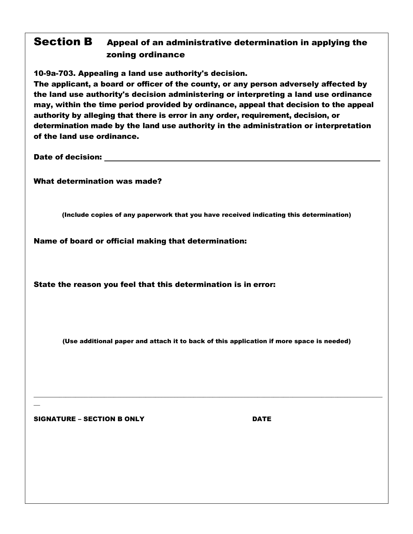## Section B Appeal of an administrative determination in applying the zoning ordinance

10-9a-703. Appealing a land use authority's decision.

The applicant, a board or officer of the county, or any person adversely affected by the land use authority's decision administering or interpreting a land use ordinance may, within the time period provided by ordinance, appeal that decision to the appeal authority by alleging that there is error in any order, requirement, decision, or determination made by the land use authority in the administration or interpretation of the land use ordinance.

Date of decision:

What determination was made?

(Include copies of any paperwork that you have received indicating this determination)

Name of board or official making that determination:

State the reason you feel that this determination is in error:

(Use additional paper and attach it to back of this application if more space is needed)

 $\mathcal{L}_\mathcal{L} = \{ \mathcal{L}_\mathcal{L} = \{ \mathcal{L}_\mathcal{L} = \{ \mathcal{L}_\mathcal{L} = \{ \mathcal{L}_\mathcal{L} = \{ \mathcal{L}_\mathcal{L} = \{ \mathcal{L}_\mathcal{L} = \{ \mathcal{L}_\mathcal{L} = \{ \mathcal{L}_\mathcal{L} = \{ \mathcal{L}_\mathcal{L} = \{ \mathcal{L}_\mathcal{L} = \{ \mathcal{L}_\mathcal{L} = \{ \mathcal{L}_\mathcal{L} = \{ \mathcal{L}_\mathcal{L} = \{ \mathcal{L}_\mathcal{$ 

SIGNATURE – SECTION B ONLY **EXAMPLE 19** DATE

 $\overline{a}$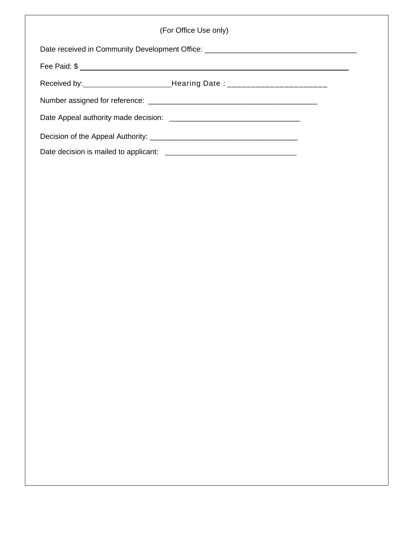|                                                                                   | (For Office Use only) |  |
|-----------------------------------------------------------------------------------|-----------------------|--|
| Date received in Community Development Office: __________________________________ |                       |  |
|                                                                                   |                       |  |
|                                                                                   |                       |  |
|                                                                                   |                       |  |
|                                                                                   |                       |  |
|                                                                                   |                       |  |
|                                                                                   |                       |  |